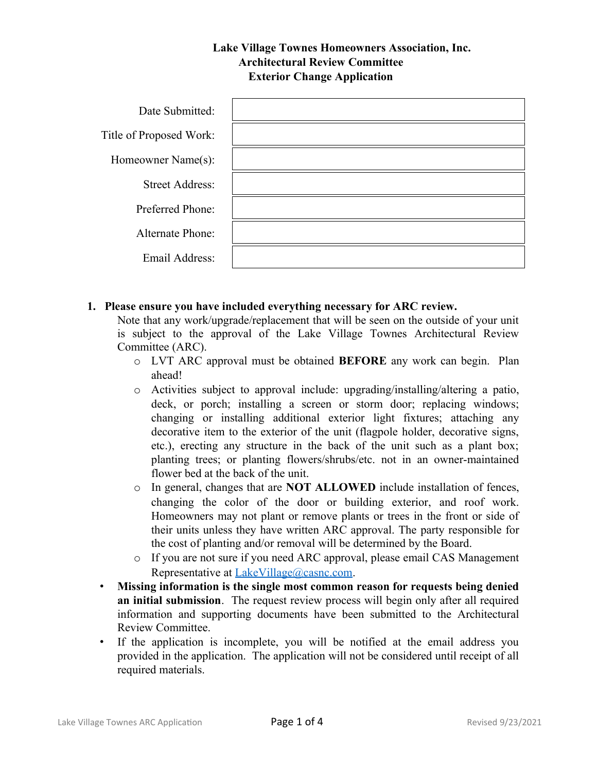## **Lake Village Townes Homeowners Association, Inc. Architectural Review Committee Exterior Change Application**

| Date Submitted:         |  |
|-------------------------|--|
| Title of Proposed Work: |  |
| Homeowner Name(s):      |  |
| <b>Street Address:</b>  |  |
| Preferred Phone:        |  |
| <b>Alternate Phone:</b> |  |
| Email Address:          |  |

## **1. Please ensure you have included everything necessary for ARC review.**

Note that any work/upgrade/replacement that will be seen on the outside of your unit is subject to the approval of the Lake Village Townes Architectural Review Committee (ARC).

- o LVT ARC approval must be obtained **BEFORE** any work can begin. Plan ahead!
- o Activities subject to approval include: upgrading/installing/altering a patio, deck, or porch; installing a screen or storm door; replacing windows; changing or installing additional exterior light fixtures; attaching any decorative item to the exterior of the unit (flagpole holder, decorative signs, etc.), erecting any structure in the back of the unit such as a plant box; planting trees; or planting flowers/shrubs/etc. not in an owner-maintained flower bed at the back of the unit.
- o In general, changes that are **NOT ALLOWED** include installation of fences, changing the color of the door or building exterior, and roof work. Homeowners may not plant or remove plants or trees in the front or side of their units unless they have written ARC approval. The party responsible for the cost of planting and/or removal will be determined by the Board.
- o If you are not sure if you need ARC approval, please email CAS Management Representative at [LakeVillage@casnc.com.](mailto:LakeVillage@casnc.com)
- **Missing information is the single most common reason for requests being denied an initial submission**. The request review process will begin only after all required information and supporting documents have been submitted to the Architectural Review Committee.
- If the application is incomplete, you will be notified at the email address you provided in the application. The application will not be considered until receipt of all required materials.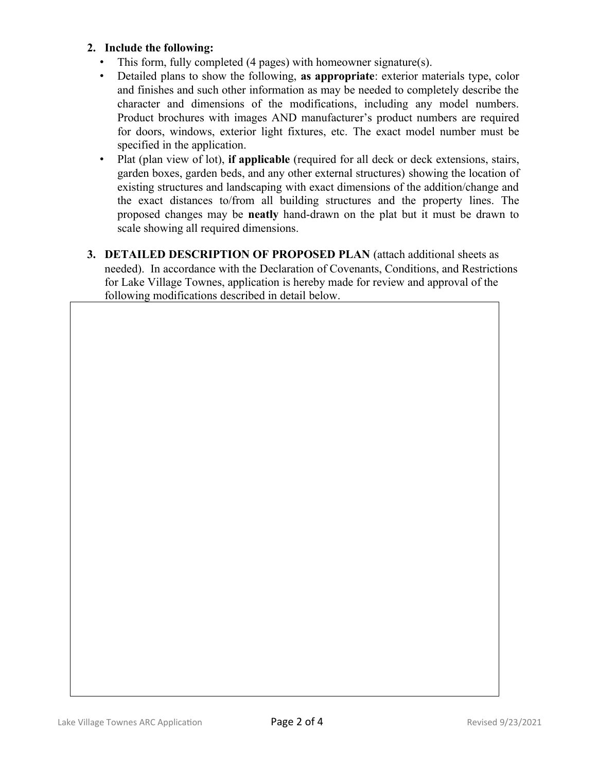## **2. Include the following:**

- This form, fully completed (4 pages) with homeowner signature(s).
- Detailed plans to show the following, **as appropriate**: exterior materials type, color and finishes and such other information as may be needed to completely describe the character and dimensions of the modifications, including any model numbers. Product brochures with images AND manufacturer's product numbers are required for doors, windows, exterior light fixtures, etc. The exact model number must be specified in the application.
- Plat (plan view of lot), **if applicable** (required for all deck or deck extensions, stairs, garden boxes, garden beds, and any other external structures) showing the location of existing structures and landscaping with exact dimensions of the addition/change and the exact distances to/from all building structures and the property lines. The proposed changes may be **neatly** hand-drawn on the plat but it must be drawn to scale showing all required dimensions.
- **3. DETAILED DESCRIPTION OF PROPOSED PLAN** (attach additional sheets as needed). In accordance with the Declaration of Covenants, Conditions, and Restrictions for Lake Village Townes, application is hereby made for review and approval of the following modifications described in detail below.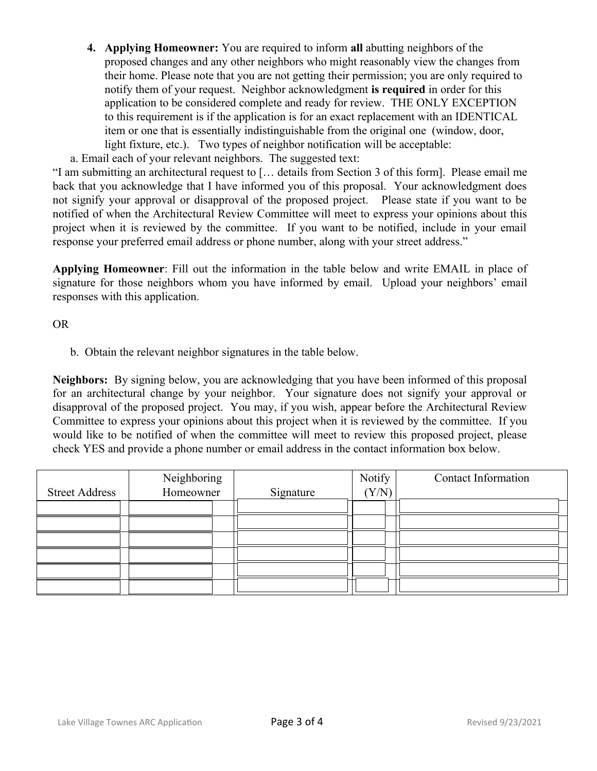**4. Applying Homeowner:** You are required to inform **all** abutting neighbors of the proposed changes and any other neighbors who might reasonably view the changes from their home. Please note that you are not getting their permission; you are only required to notify them of your request. Neighbor acknowledgment **is required** in order for this application to be considered complete and ready for review. THE ONLY EXCEPTION to this requirement is if the application is for an exact replacement with an IDENTICAL item or one that is essentially indistinguishable from the original one (window, door, light fixture, etc.). Two types of neighbor notification will be acceptable:

a. Email each of your relevant neighbors. The suggested text:

"I am submitting an architectural request to [… details from Section 3 of this form]. Please email me back that you acknowledge that I have informed you of this proposal. Your acknowledgment does not signify your approval or disapproval of the proposed project. Please state if you want to be notified of when the Architectural Review Committee will meet to express your opinions about this project when it is reviewed by the committee. If you want to be notified, include in your email response your preferred email address or phone number, along with your street address."

**Applying Homeowner**: Fill out the information in the table below and write EMAIL in place of signature for those neighbors whom you have informed by email. Upload your neighbors' email responses with this application.

OR

b. Obtain the relevant neighbor signatures in the table below.

**Neighbors:** By signing below, you are acknowledging that you have been informed of this proposal for an architectural change by your neighbor. Your signature does not signify your approval or disapproval of the proposed project. You may, if you wish, appear before the Architectural Review Committee to express your opinions about this project when it is reviewed by the committee. If you would like to be notified of when the committee will meet to review this proposed project, please check YES and provide a phone number or email address in the contact information box below.

|                       | Neighboring |           | Notify | <b>Contact Information</b> |
|-----------------------|-------------|-----------|--------|----------------------------|
| <b>Street Address</b> | Homeowner   | Signature | (Y/N)  |                            |
|                       |             |           |        |                            |
|                       |             |           |        |                            |
|                       |             |           |        |                            |
|                       |             |           |        |                            |
|                       |             |           |        |                            |
|                       |             |           |        |                            |